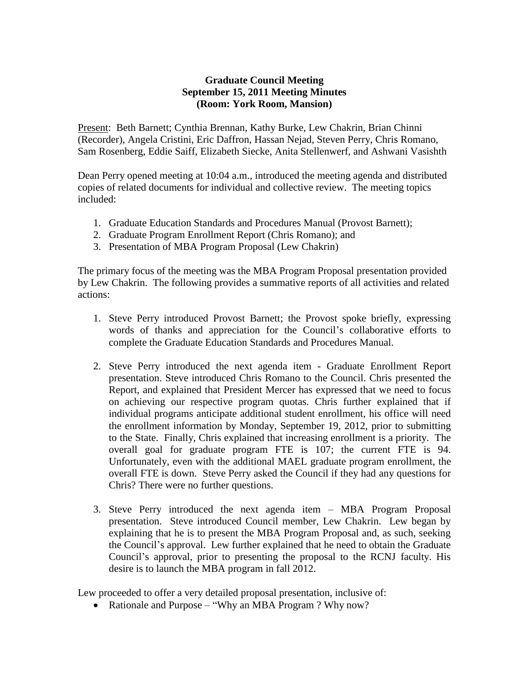## **Graduate Council Meeting September 15, 2011 Meeting Minutes (Room: York Room, Mansion)**

Present: Beth Barnett; Cynthia Brennan, Kathy Burke, Lew Chakrin, Brian Chinni (Recorder), Angela Cristini, Eric Daffron, Hassan Nejad, Steven Perry, Chris Romano, Sam Rosenberg, Eddie Saiff, Elizabeth Siecke, Anita Stellenwerf, and Ashwani Vasishth

Dean Perry opened meeting at 10:04 a.m., introduced the meeting agenda and distributed copies of related documents for individual and collective review. The meeting topics included:

- 1. Graduate Education Standards and Procedures Manual (Provost Barnett);
- 2. Graduate Program Enrollment Report (Chris Romano); and
- 3. Presentation of MBA Program Proposal (Lew Chakrin)

The primary focus of the meeting was the MBA Program Proposal presentation provided by Lew Chakrin. The following provides a summative reports of all activities and related actions:

- 1. Steve Perry introduced Provost Barnett; the Provost spoke briefly, expressing words of thanks and appreciation for the Council's collaborative efforts to complete the Graduate Education Standards and Procedures Manual.
- 2. Steve Perry introduced the next agenda item Graduate Enrollment Report presentation. Steve introduced Chris Romano to the Council. Chris presented the Report, and explained that President Mercer has expressed that we need to focus on achieving our respective program quotas. Chris further explained that if individual programs anticipate additional student enrollment, his office will need the enrollment information by Monday, September 19, 2012, prior to submitting to the State. Finally, Chris explained that increasing enrollment is a priority. The overall goal for graduate program FTE is 107; the current FTE is 94. Unfortunately, even with the additional MAEL graduate program enrollment, the overall FTE is down. Steve Perry asked the Council if they had any questions for Chris? There were no further questions.
- 3. Steve Perry introduced the next agenda item MBA Program Proposal presentation. Steve introduced Council member, Lew Chakrin. Lew began by explaining that he is to present the MBA Program Proposal and, as such, seeking the Council's approval. Lew further explained that he need to obtain the Graduate Council's approval, prior to presenting the proposal to the RCNJ faculty. His desire is to launch the MBA program in fall 2012.

Lew proceeded to offer a very detailed proposal presentation, inclusive of:

• Rationale and Purpose – "Why an MBA Program ? Why now?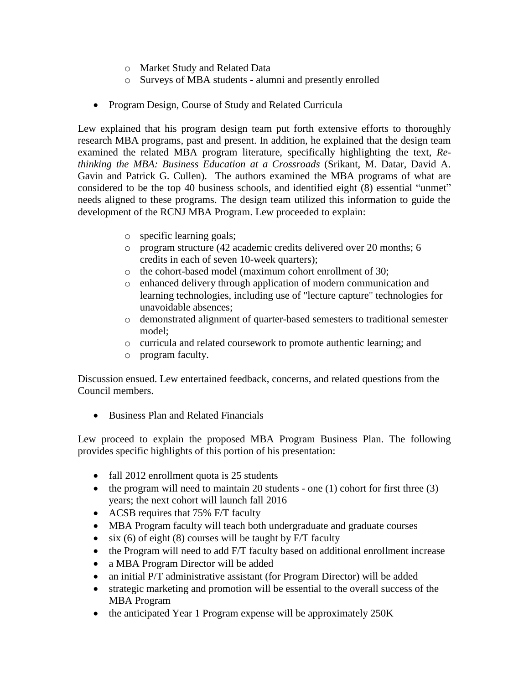- o Market Study and Related Data
- o Surveys of MBA students alumni and presently enrolled
- Program Design, Course of Study and Related Curricula

Lew explained that his program design team put forth extensive efforts to thoroughly research MBA programs, past and present. In addition, he explained that the design team examined the related MBA program literature, specifically highlighting the text, *Rethinking the MBA: Business Education at a Crossroads* (Srikant, M. Datar, David A. Gavin and Patrick G. Cullen). The authors examined the MBA programs of what are considered to be the top 40 business schools, and identified eight (8) essential "unmet" needs aligned to these programs. The design team utilized this information to guide the development of the RCNJ MBA Program. Lew proceeded to explain:

- o specific learning goals;
- o program structure (42 academic credits delivered over 20 months; 6 credits in each of seven 10-week quarters);
- o the cohort-based model (maximum cohort enrollment of 30;
- o enhanced delivery through application of modern communication and learning technologies, including use of "lecture capture" technologies for unavoidable absences;
- o demonstrated alignment of quarter-based semesters to traditional semester model;
- o curricula and related coursework to promote authentic learning; and
- o program faculty.

Discussion ensued. Lew entertained feedback, concerns, and related questions from the Council members.

• Business Plan and Related Financials

Lew proceed to explain the proposed MBA Program Business Plan. The following provides specific highlights of this portion of his presentation:

- fall 2012 enrollment quota is 25 students
- the program will need to maintain 20 students one  $(1)$  cohort for first three  $(3)$ years; the next cohort will launch fall 2016
- ACSB requires that 75% F/T faculty
- MBA Program faculty will teach both undergraduate and graduate courses
- $\bullet$  six (6) of eight (8) courses will be taught by F/T faculty
- the Program will need to add F/T faculty based on additional enrollment increase
- a MBA Program Director will be added
- an initial P/T administrative assistant (for Program Director) will be added
- strategic marketing and promotion will be essential to the overall success of the MBA Program
- the anticipated Year 1 Program expense will be approximately 250K